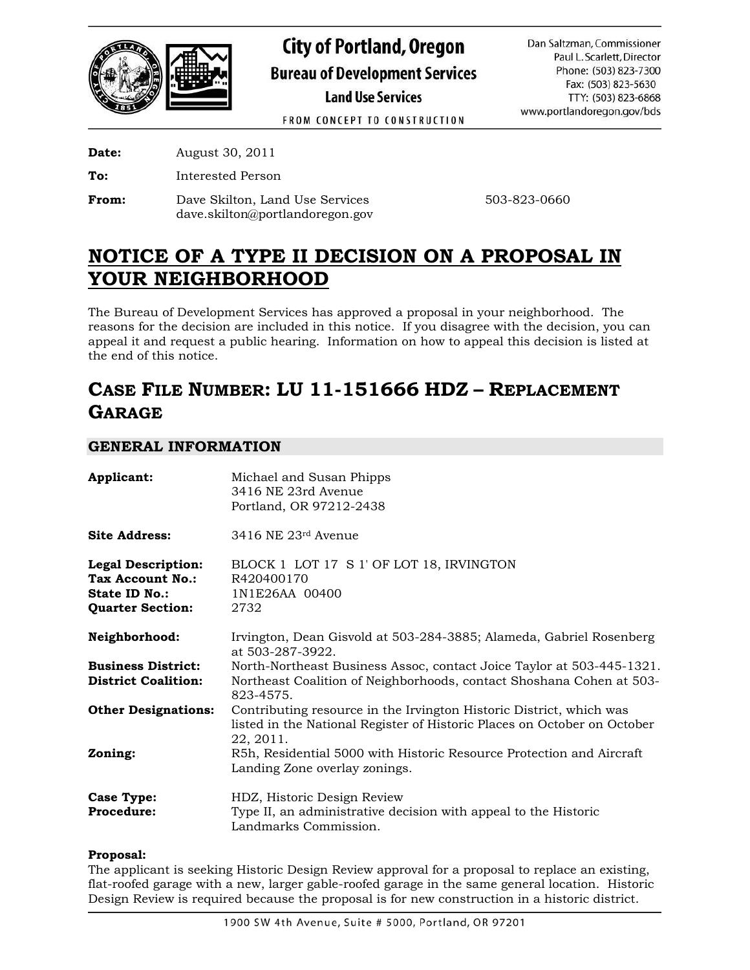

**City of Portland, Oregon Bureau of Development Services Land Use Services** 

Dan Saltzman, Commissioner Paul L. Scarlett, Director Phone: (503) 823-7300 Fax: (503) 823-5630 TTY: (503) 823-6868 www.portlandoregon.gov/bds

FROM CONCEPT TO CONSTRUCTION

**Date:** August 30, 2011

**To:** Interested Person

**From:** Dave Skilton, Land Use Services 503-823-0660 dave.skilton@portlandoregon.gov

# **NOTICE OF A TYPE II DECISION ON A PROPOSAL IN YOUR NEIGHBORHOOD**

The Bureau of Development Services has approved a proposal in your neighborhood. The reasons for the decision are included in this notice. If you disagree with the decision, you can appeal it and request a public hearing. Information on how to appeal this decision is listed at the end of this notice.

# **CASE FILE NUMBER: LU 11-151666 HDZ – REPLACEMENT GARAGE**

# **GENERAL INFORMATION**

| Applicant:                                                                                       | Michael and Susan Phipps<br>3416 NE 23rd Avenue<br>Portland, OR 97212-2438                                                                                   |
|--------------------------------------------------------------------------------------------------|--------------------------------------------------------------------------------------------------------------------------------------------------------------|
| <b>Site Address:</b>                                                                             | $3416$ NE $23$ <sup>rd</sup> Avenue                                                                                                                          |
| <b>Legal Description:</b><br>Tax Account No.:<br><b>State ID No.:</b><br><b>Quarter Section:</b> | BLOCK 1 LOT 17 S 1' OF LOT 18, IRVINGTON<br>R420400170<br>1N1E26AA 00400<br>2732                                                                             |
| Neighborhood:                                                                                    | Irvington, Dean Gisvold at 503-284-3885; Alameda, Gabriel Rosenberg<br>at 503-287-3922.                                                                      |
| <b>Business District:</b><br><b>District Coalition:</b>                                          | North-Northeast Business Assoc, contact Joice Taylor at 503-445-1321.<br>Northeast Coalition of Neighborhoods, contact Shoshana Cohen at 503-<br>823-4575.   |
| <b>Other Designations:</b>                                                                       | Contributing resource in the Irvington Historic District, which was<br>listed in the National Register of Historic Places on October on October<br>22, 2011. |
| Zoning:                                                                                          | R5h, Residential 5000 with Historic Resource Protection and Aircraft<br>Landing Zone overlay zonings.                                                        |
| <b>Case Type:</b><br>Procedure:                                                                  | HDZ, Historic Design Review<br>Type II, an administrative decision with appeal to the Historic<br>Landmarks Commission.                                      |

## **Proposal:**

The applicant is seeking Historic Design Review approval for a proposal to replace an existing, flat-roofed garage with a new, larger gable-roofed garage in the same general location. Historic Design Review is required because the proposal is for new construction in a historic district.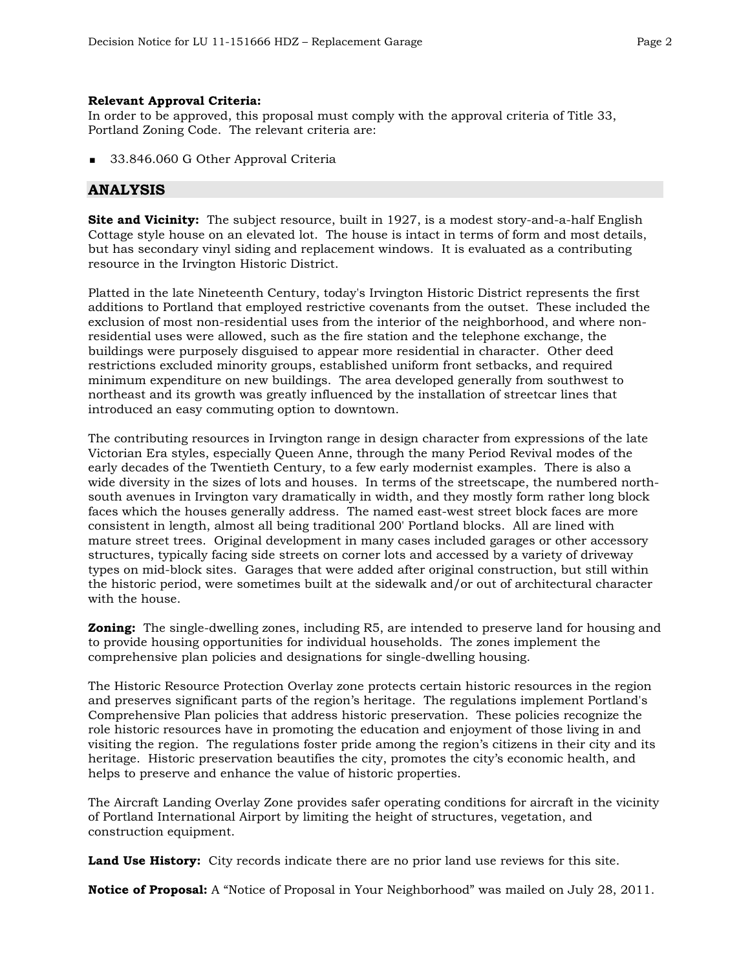### **Relevant Approval Criteria:**

In order to be approved, this proposal must comply with the approval criteria of Title 33, Portland Zoning Code. The relevant criteria are:

33.846.060 G Other Approval Criteria

# **ANALYSIS**

**Site and Vicinity:** The subject resource, built in 1927, is a modest story-and-a-half English Cottage style house on an elevated lot. The house is intact in terms of form and most details, but has secondary vinyl siding and replacement windows. It is evaluated as a contributing resource in the Irvington Historic District.

Platted in the late Nineteenth Century, today's Irvington Historic District represents the first additions to Portland that employed restrictive covenants from the outset. These included the exclusion of most non-residential uses from the interior of the neighborhood, and where nonresidential uses were allowed, such as the fire station and the telephone exchange, the buildings were purposely disguised to appear more residential in character. Other deed restrictions excluded minority groups, established uniform front setbacks, and required minimum expenditure on new buildings. The area developed generally from southwest to northeast and its growth was greatly influenced by the installation of streetcar lines that introduced an easy commuting option to downtown.

The contributing resources in Irvington range in design character from expressions of the late Victorian Era styles, especially Queen Anne, through the many Period Revival modes of the early decades of the Twentieth Century, to a few early modernist examples. There is also a wide diversity in the sizes of lots and houses. In terms of the streetscape, the numbered northsouth avenues in Irvington vary dramatically in width, and they mostly form rather long block faces which the houses generally address. The named east-west street block faces are more consistent in length, almost all being traditional 200' Portland blocks. All are lined with mature street trees. Original development in many cases included garages or other accessory structures, typically facing side streets on corner lots and accessed by a variety of driveway types on mid-block sites. Garages that were added after original construction, but still within the historic period, were sometimes built at the sidewalk and/or out of architectural character with the house.

**Zoning:** The single-dwelling zones, including R5, are intended to preserve land for housing and to provide housing opportunities for individual households. The zones implement the comprehensive plan policies and designations for single-dwelling housing.

The Historic Resource Protection Overlay zone protects certain historic resources in the region and preserves significant parts of the region's heritage. The regulations implement Portland's Comprehensive Plan policies that address historic preservation. These policies recognize the role historic resources have in promoting the education and enjoyment of those living in and visiting the region. The regulations foster pride among the region's citizens in their city and its heritage. Historic preservation beautifies the city, promotes the city's economic health, and helps to preserve and enhance the value of historic properties.

The Aircraft Landing Overlay Zone provides safer operating conditions for aircraft in the vicinity of Portland International Airport by limiting the height of structures, vegetation, and construction equipment.

**Land Use History:** City records indicate there are no prior land use reviews for this site.

**Notice of Proposal:** A "Notice of Proposal in Your Neighborhood" was mailed on July 28, 2011.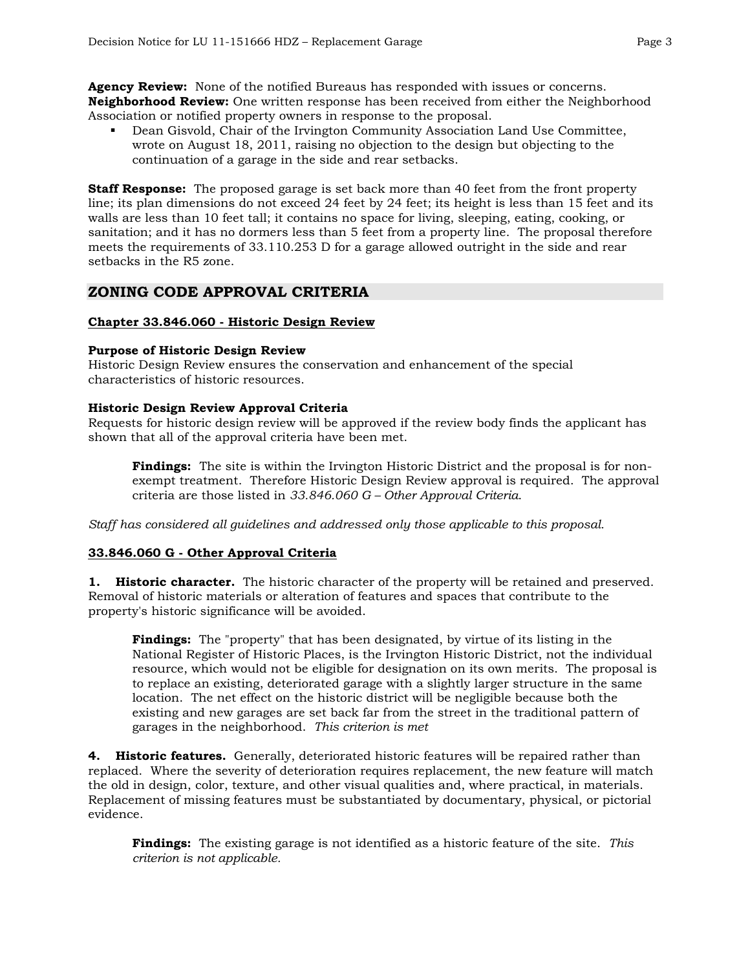**Agency Review:** None of the notified Bureaus has responded with issues or concerns. **Neighborhood Review:** One written response has been received from either the Neighborhood Association or notified property owners in response to the proposal.

 Dean Gisvold, Chair of the Irvington Community Association Land Use Committee, wrote on August 18, 2011, raising no objection to the design but objecting to the continuation of a garage in the side and rear setbacks.

**Staff Response:** The proposed garage is set back more than 40 feet from the front property line; its plan dimensions do not exceed 24 feet by 24 feet; its height is less than 15 feet and its walls are less than 10 feet tall; it contains no space for living, sleeping, eating, cooking, or sanitation; and it has no dormers less than 5 feet from a property line. The proposal therefore meets the requirements of 33.110.253 D for a garage allowed outright in the side and rear setbacks in the R5 zone.

# **ZONING CODE APPROVAL CRITERIA**

## **Chapter 33.846.060 - Historic Design Review**

## **Purpose of Historic Design Review**

Historic Design Review ensures the conservation and enhancement of the special characteristics of historic resources.

## **Historic Design Review Approval Criteria**

Requests for historic design review will be approved if the review body finds the applicant has shown that all of the approval criteria have been met.

**Findings:** The site is within the Irvington Historic District and the proposal is for nonexempt treatment. Therefore Historic Design Review approval is required. The approval criteria are those listed in *33.846.060 G – Other Approval Criteria*.

*Staff has considered all guidelines and addressed only those applicable to this proposal.* 

# **33.846.060 G - Other Approval Criteria**

**1. Historic character.** The historic character of the property will be retained and preserved. Removal of historic materials or alteration of features and spaces that contribute to the property's historic significance will be avoided.

**Findings:** The "property" that has been designated, by virtue of its listing in the National Register of Historic Places, is the Irvington Historic District, not the individual resource, which would not be eligible for designation on its own merits. The proposal is to replace an existing, deteriorated garage with a slightly larger structure in the same location. The net effect on the historic district will be negligible because both the existing and new garages are set back far from the street in the traditional pattern of garages in the neighborhood. *This criterion is met* 

**4. Historic features.** Generally, deteriorated historic features will be repaired rather than replaced. Where the severity of deterioration requires replacement, the new feature will match the old in design, color, texture, and other visual qualities and, where practical, in materials. Replacement of missing features must be substantiated by documentary, physical, or pictorial evidence.

**Findings:** The existing garage is not identified as a historic feature of the site. *This criterion is not applicable.*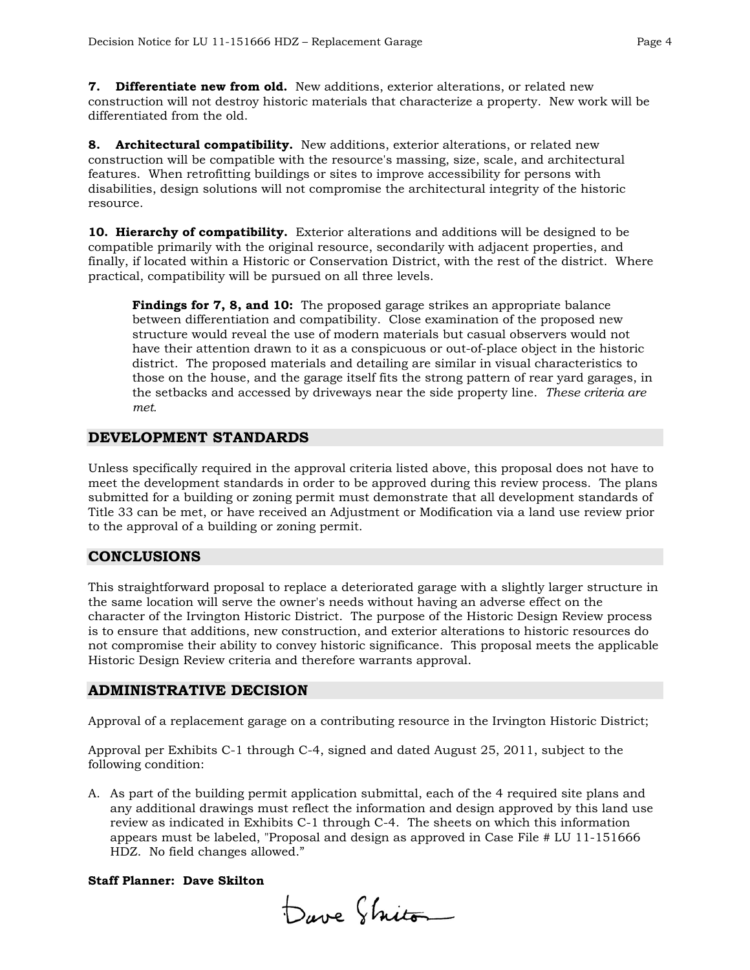**7. Differentiate new from old.** New additions, exterior alterations, or related new construction will not destroy historic materials that characterize a property. New work will be differentiated from the old.

**8. Architectural compatibility.** New additions, exterior alterations, or related new construction will be compatible with the resource's massing, size, scale, and architectural features. When retrofitting buildings or sites to improve accessibility for persons with disabilities, design solutions will not compromise the architectural integrity of the historic resource.

**10. Hierarchy of compatibility.** Exterior alterations and additions will be designed to be compatible primarily with the original resource, secondarily with adjacent properties, and finally, if located within a Historic or Conservation District, with the rest of the district. Where practical, compatibility will be pursued on all three levels.

**Findings for 7, 8, and 10:** The proposed garage strikes an appropriate balance between differentiation and compatibility. Close examination of the proposed new structure would reveal the use of modern materials but casual observers would not have their attention drawn to it as a conspicuous or out-of-place object in the historic district. The proposed materials and detailing are similar in visual characteristics to those on the house, and the garage itself fits the strong pattern of rear yard garages, in the setbacks and accessed by driveways near the side property line. *These criteria are met.* 

# **DEVELOPMENT STANDARDS**

Unless specifically required in the approval criteria listed above, this proposal does not have to meet the development standards in order to be approved during this review process. The plans submitted for a building or zoning permit must demonstrate that all development standards of Title 33 can be met, or have received an Adjustment or Modification via a land use review prior to the approval of a building or zoning permit.

## **CONCLUSIONS**

This straightforward proposal to replace a deteriorated garage with a slightly larger structure in the same location will serve the owner's needs without having an adverse effect on the character of the Irvington Historic District. The purpose of the Historic Design Review process is to ensure that additions, new construction, and exterior alterations to historic resources do not compromise their ability to convey historic significance. This proposal meets the applicable Historic Design Review criteria and therefore warrants approval.

## **ADMINISTRATIVE DECISION**

Approval of a replacement garage on a contributing resource in the Irvington Historic District;

Approval per Exhibits C-1 through C-4, signed and dated August 25, 2011, subject to the following condition:

A. As part of the building permit application submittal, each of the 4 required site plans and any additional drawings must reflect the information and design approved by this land use review as indicated in Exhibits C-1 through C-4. The sheets on which this information appears must be labeled, "Proposal and design as approved in Case File # LU 11-151666 HDZ. No field changes allowed."

### **Staff Planner: Dave Skilton**

Dave Shito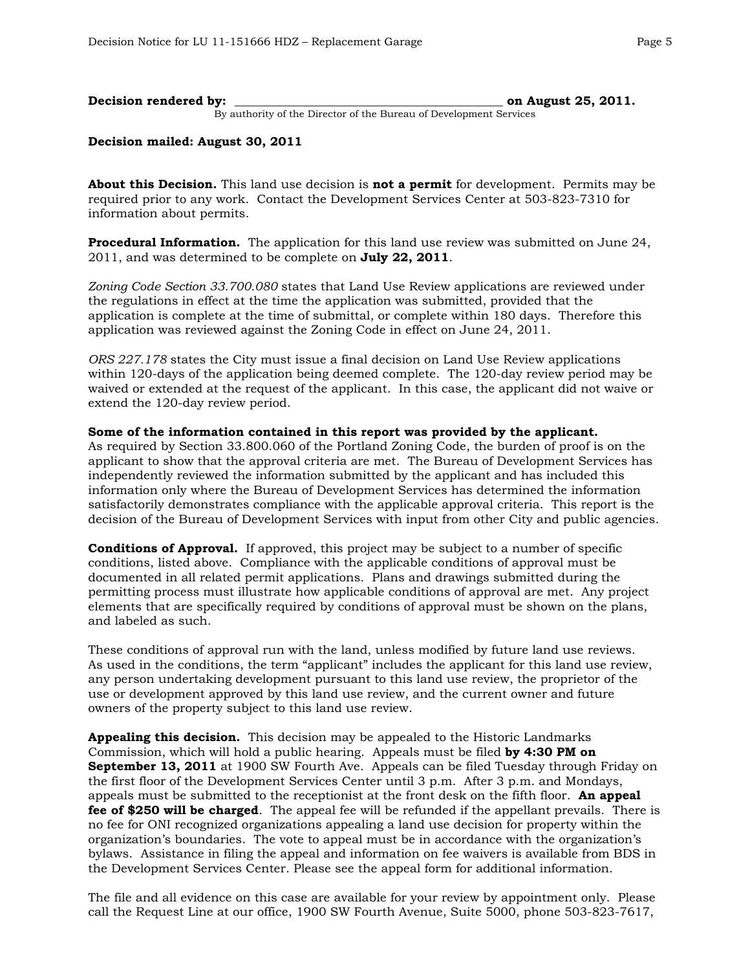| Decision rendered by: |                                                                    | on August 25, 2011. |
|-----------------------|--------------------------------------------------------------------|---------------------|
|                       | By authority of the Director of the Bureau of Development Services |                     |

### **Decision mailed: August 30, 2011**

**About this Decision.** This land use decision is **not a permit** for development. Permits may be required prior to any work. Contact the Development Services Center at 503-823-7310 for information about permits.

**Procedural Information.** The application for this land use review was submitted on June 24, 2011, and was determined to be complete on **July 22, 2011**.

*Zoning Code Section 33.700.080* states that Land Use Review applications are reviewed under the regulations in effect at the time the application was submitted, provided that the application is complete at the time of submittal, or complete within 180 days. Therefore this application was reviewed against the Zoning Code in effect on June 24, 2011.

*ORS 227.178* states the City must issue a final decision on Land Use Review applications within 120-days of the application being deemed complete. The 120-day review period may be waived or extended at the request of the applicant. In this case, the applicant did not waive or extend the 120-day review period.

#### **Some of the information contained in this report was provided by the applicant.**

As required by Section 33.800.060 of the Portland Zoning Code, the burden of proof is on the applicant to show that the approval criteria are met. The Bureau of Development Services has independently reviewed the information submitted by the applicant and has included this information only where the Bureau of Development Services has determined the information satisfactorily demonstrates compliance with the applicable approval criteria. This report is the decision of the Bureau of Development Services with input from other City and public agencies.

**Conditions of Approval.** If approved, this project may be subject to a number of specific conditions, listed above. Compliance with the applicable conditions of approval must be documented in all related permit applications. Plans and drawings submitted during the permitting process must illustrate how applicable conditions of approval are met. Any project elements that are specifically required by conditions of approval must be shown on the plans, and labeled as such.

These conditions of approval run with the land, unless modified by future land use reviews. As used in the conditions, the term "applicant" includes the applicant for this land use review, any person undertaking development pursuant to this land use review, the proprietor of the use or development approved by this land use review, and the current owner and future owners of the property subject to this land use review.

**Appealing this decision.** This decision may be appealed to the Historic Landmarks Commission, which will hold a public hearing. Appeals must be filed **by 4:30 PM on September 13, 2011** at 1900 SW Fourth Ave. Appeals can be filed Tuesday through Friday on the first floor of the Development Services Center until 3 p.m. After 3 p.m. and Mondays, appeals must be submitted to the receptionist at the front desk on the fifth floor. **An appeal fee of \$250 will be charged**. The appeal fee will be refunded if the appellant prevails. There is no fee for ONI recognized organizations appealing a land use decision for property within the organization's boundaries. The vote to appeal must be in accordance with the organization's bylaws. Assistance in filing the appeal and information on fee waivers is available from BDS in the Development Services Center. Please see the appeal form for additional information.

The file and all evidence on this case are available for your review by appointment only. Please call the Request Line at our office, 1900 SW Fourth Avenue, Suite 5000, phone 503-823-7617,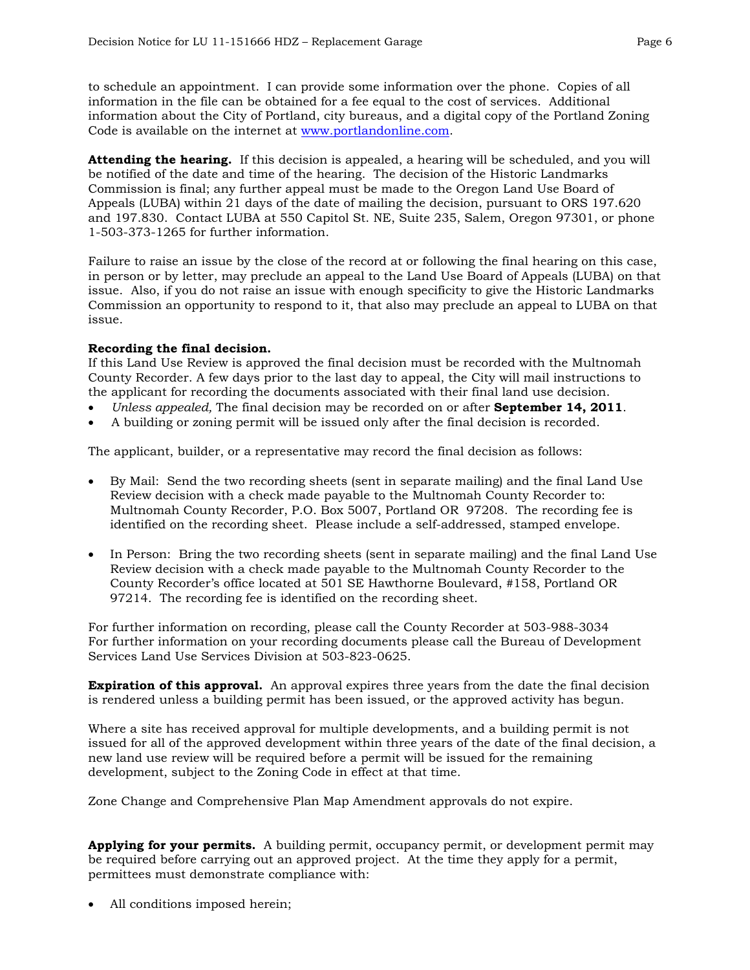to schedule an appointment. I can provide some information over the phone. Copies of all information in the file can be obtained for a fee equal to the cost of services. Additional information about the City of Portland, city bureaus, and a digital copy of the Portland Zoning Code is available on the internet at [www.portlandonline.com](http://www.ci.portland.or.us/).

**Attending the hearing.** If this decision is appealed, a hearing will be scheduled, and you will be notified of the date and time of the hearing. The decision of the Historic Landmarks Commission is final; any further appeal must be made to the Oregon Land Use Board of Appeals (LUBA) within 21 days of the date of mailing the decision, pursuant to ORS 197.620 and 197.830. Contact LUBA at 550 Capitol St. NE, Suite 235, Salem, Oregon 97301, or phone 1-503-373-1265 for further information.

Failure to raise an issue by the close of the record at or following the final hearing on this case, in person or by letter, may preclude an appeal to the Land Use Board of Appeals (LUBA) on that issue. Also, if you do not raise an issue with enough specificity to give the Historic Landmarks Commission an opportunity to respond to it, that also may preclude an appeal to LUBA on that issue.

### **Recording the final decision.**

If this Land Use Review is approved the final decision must be recorded with the Multnomah County Recorder. A few days prior to the last day to appeal, the City will mail instructions to the applicant for recording the documents associated with their final land use decision.

- *Unless appealed,* The final decision may be recorded on or after **September 14, 2011**.
- A building or zoning permit will be issued only after the final decision is recorded.

The applicant, builder, or a representative may record the final decision as follows:

- By Mail: Send the two recording sheets (sent in separate mailing) and the final Land Use Review decision with a check made payable to the Multnomah County Recorder to: Multnomah County Recorder, P.O. Box 5007, Portland OR 97208. The recording fee is identified on the recording sheet. Please include a self-addressed, stamped envelope.
- In Person: Bring the two recording sheets (sent in separate mailing) and the final Land Use Review decision with a check made payable to the Multnomah County Recorder to the County Recorder's office located at 501 SE Hawthorne Boulevard, #158, Portland OR 97214. The recording fee is identified on the recording sheet.

For further information on recording, please call the County Recorder at 503-988-3034 For further information on your recording documents please call the Bureau of Development Services Land Use Services Division at 503-823-0625.

**Expiration of this approval.** An approval expires three years from the date the final decision is rendered unless a building permit has been issued, or the approved activity has begun.

Where a site has received approval for multiple developments, and a building permit is not issued for all of the approved development within three years of the date of the final decision, a new land use review will be required before a permit will be issued for the remaining development, subject to the Zoning Code in effect at that time.

Zone Change and Comprehensive Plan Map Amendment approvals do not expire.

**Applying for your permits.** A building permit, occupancy permit, or development permit may be required before carrying out an approved project. At the time they apply for a permit, permittees must demonstrate compliance with:

All conditions imposed herein;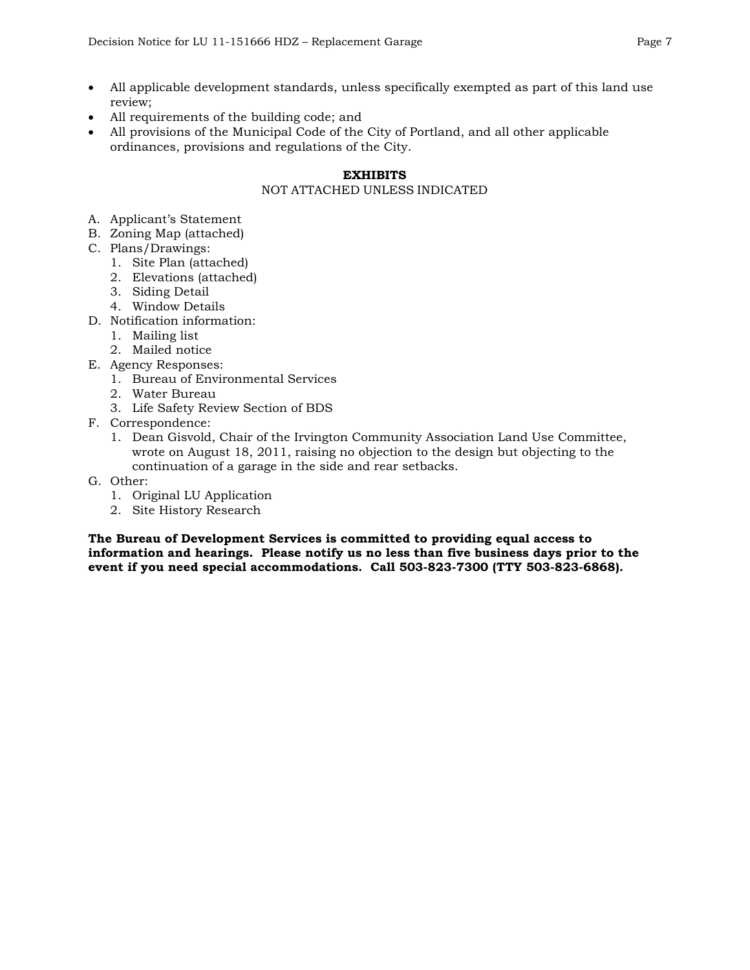- All applicable development standards, unless specifically exempted as part of this land use review;
- All requirements of the building code; and
- All provisions of the Municipal Code of the City of Portland, and all other applicable ordinances, provisions and regulations of the City.

# **EXHIBITS**

# NOT ATTACHED UNLESS INDICATED

- A. Applicant's Statement
- B. Zoning Map (attached)
- C. Plans/Drawings:
	- 1. Site Plan (attached)
	- 2. Elevations (attached)
	- 3. Siding Detail
	- 4. Window Details
- D. Notification information:
	- 1. Mailing list
	- 2. Mailed notice
- E. Agency Responses:
	- 1. Bureau of Environmental Services
	- 2. Water Bureau
	- 3. Life Safety Review Section of BDS
- F. Correspondence:
	- 1. Dean Gisvold, Chair of the Irvington Community Association Land Use Committee, wrote on August 18, 2011, raising no objection to the design but objecting to the continuation of a garage in the side and rear setbacks.
- G. Other:
	- 1. Original LU Application
	- 2. Site History Research

**The Bureau of Development Services is committed to providing equal access to information and hearings. Please notify us no less than five business days prior to the event if you need special accommodations. Call 503-823-7300 (TTY 503-823-6868).**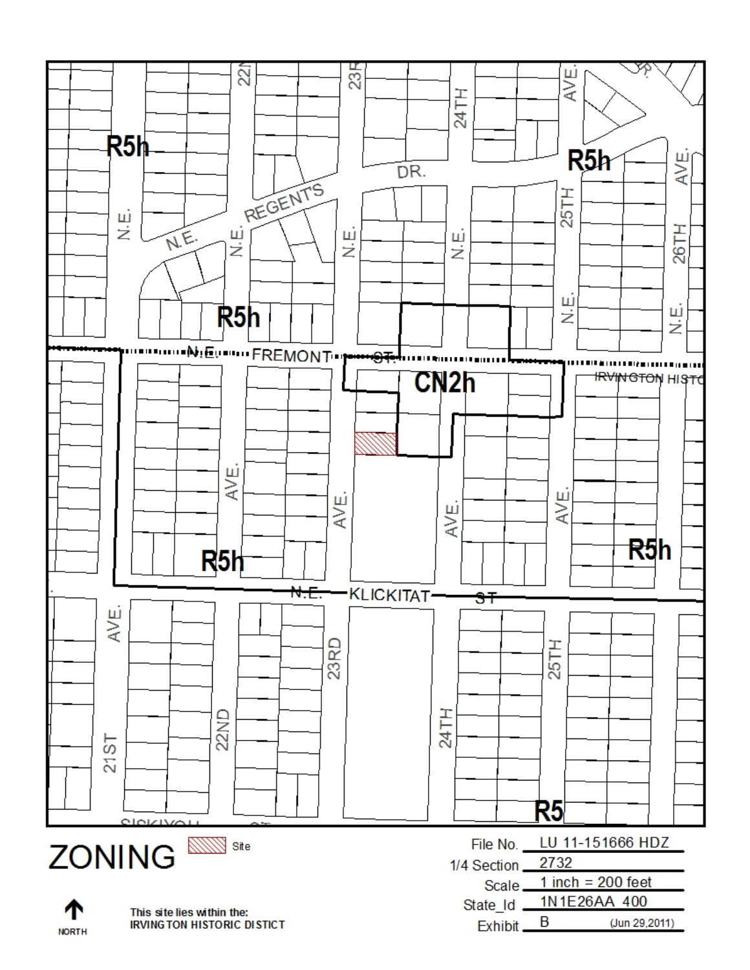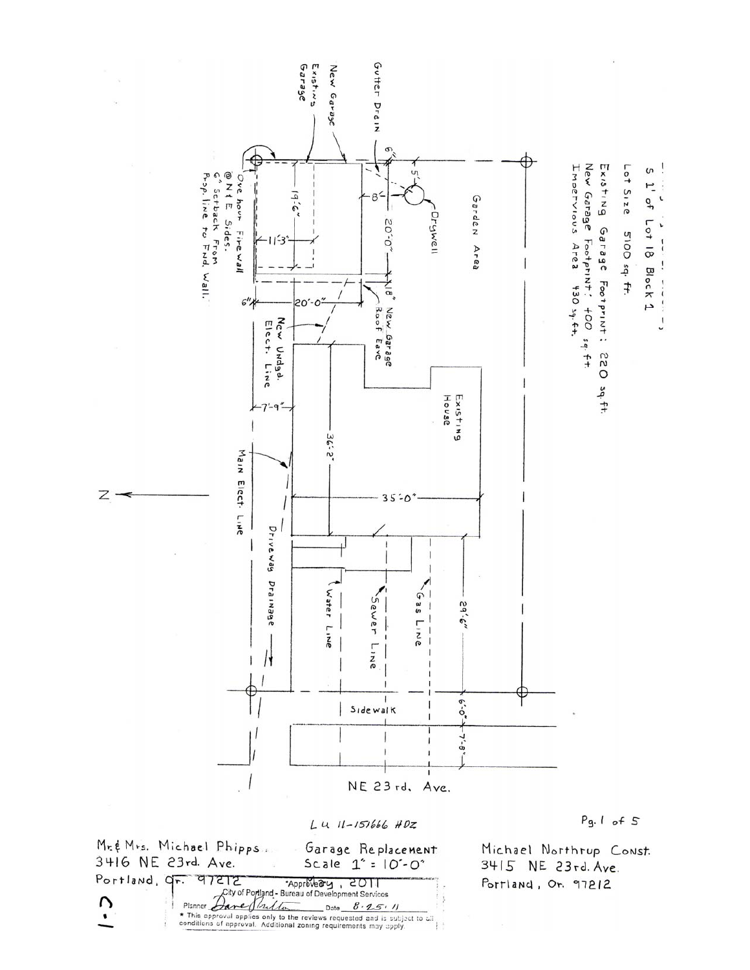